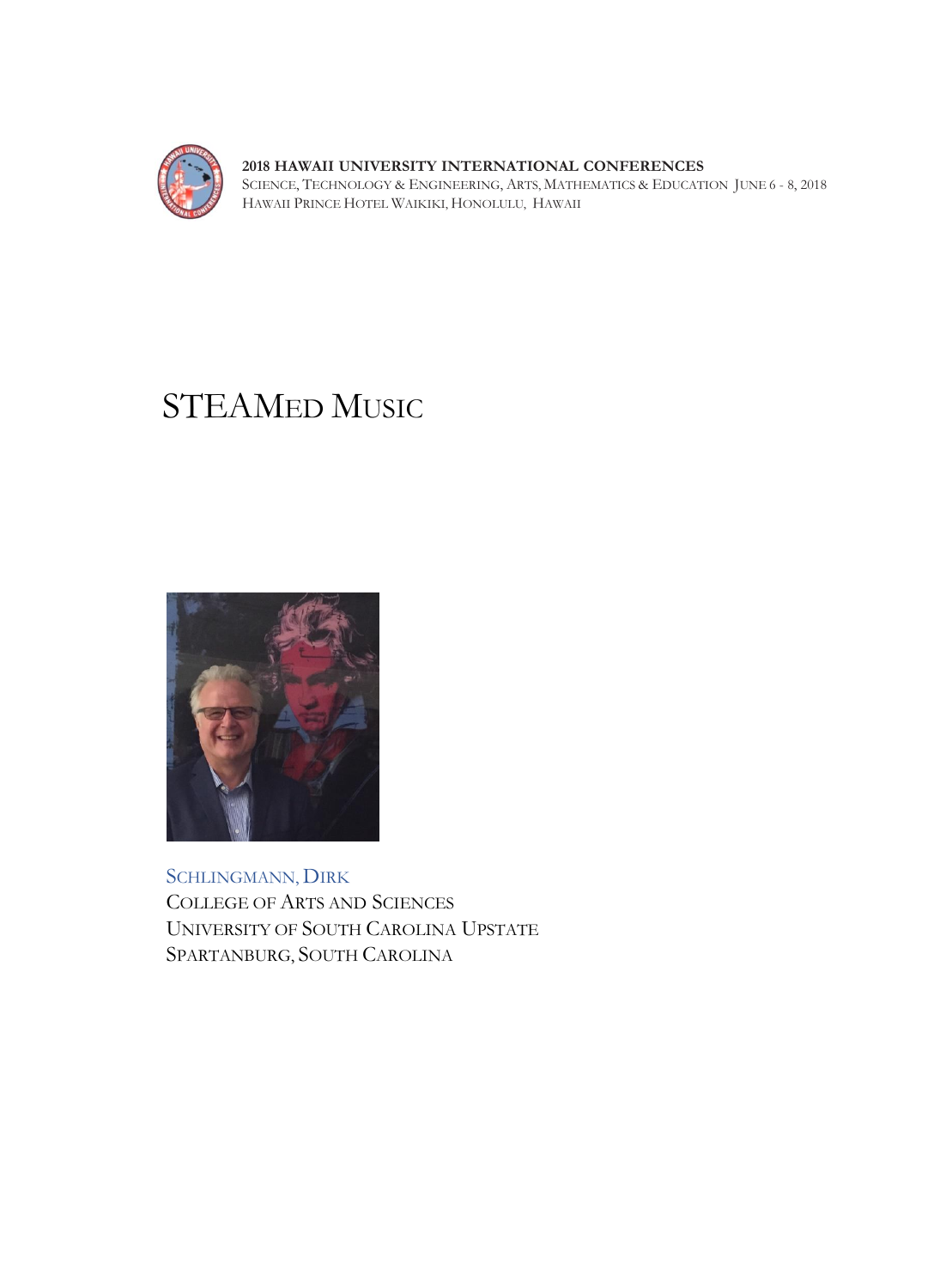

SCIENCE, TECHNOLOGY & ENGINEERING, ARTS, MATHEMATICS & EDUCATION JUNE 6 - 8, 2018 PRINCE WAIKIKI, HONOLULU, HAWAII

# STEAMED MUSIC



SCHLINGMANN, DIRK COLLEGE OF ARTS AND SCIENCES UNIVERSITY OF SOUTH CAROLINA UPSTATE SPARTANBURG, SOUTH CAROLINA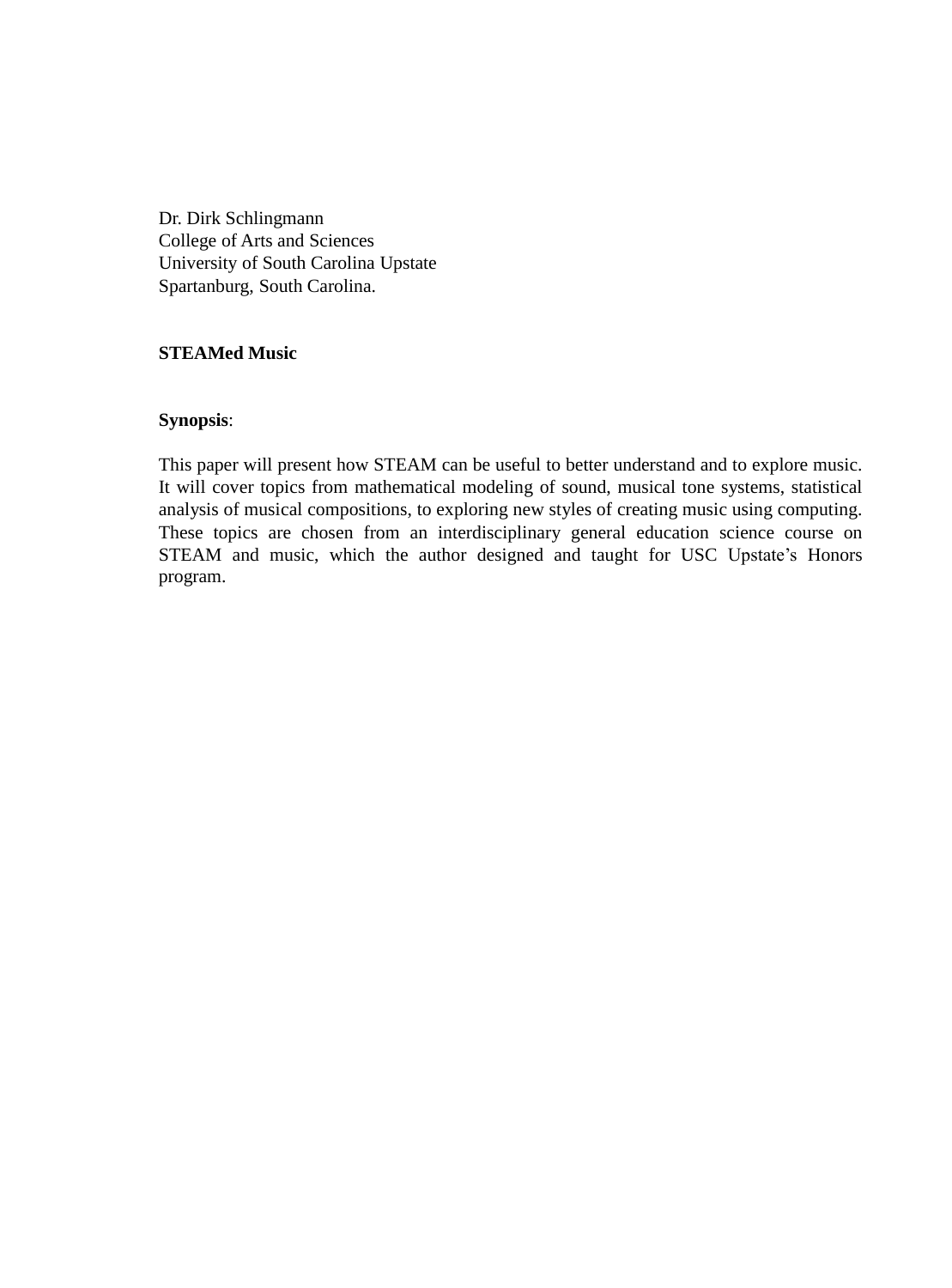Dr. Dirk Schlingmann College of Arts and Sciences University of South Carolina Upstate Spartanburg, South Carolina

# **STEAMed Music**

# **Synopsis**:

This paper will present how STEAM can be useful to better understand and to explore music. It will cover topics from mathematical modeling of sound, musical tone systems, statistical analysis of musical compositions, to exploring new styles of creating music using computing. These topics are chosen from an interdisciplinary general education science course on STEAM and music, which the author designed and taught for USC Upstate's Honors program.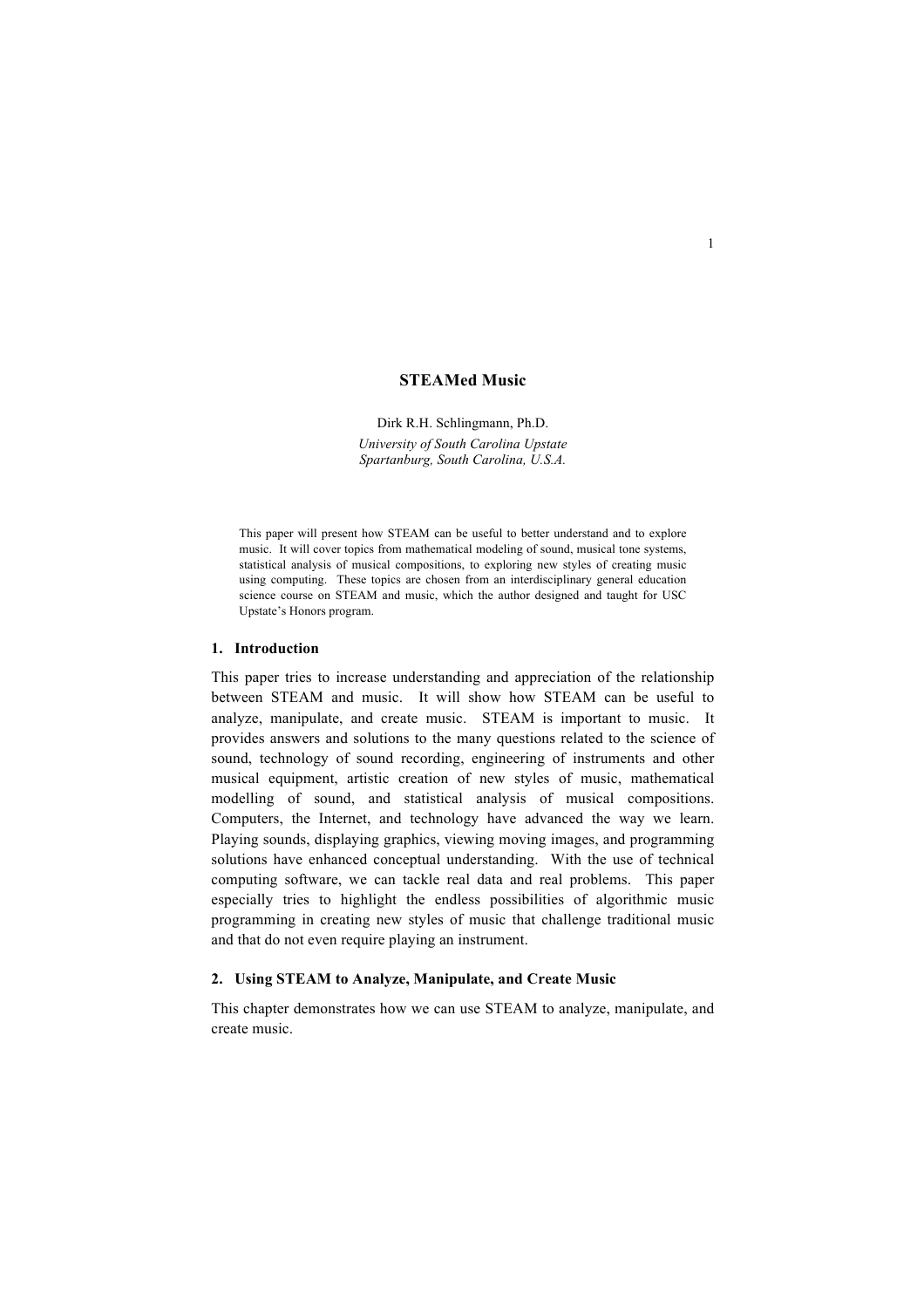## **STEAMed Music**

Dirk R.H. Schlingmann, Ph.D. *University of South Carolina Upstate Spartanburg, South Carolina, U.S.A.* 

This paper will present how STEAM can be useful to better understand and to explore music. It will cover topics from mathematical modeling of sound, musical tone systems, statistical analysis of musical compositions, to exploring new styles of creating music using computing. These topics are chosen from an interdisciplinary general education science course on STEAM and music, which the author designed and taught for USC Upstate's Honors program.

#### **1. Introduction**

This paper tries to increase understanding and appreciation of the relationship between STEAM and music. It will show how STEAM can be useful to analyze, manipulate, and create music. STEAM is important to music. It provides answers and solutions to the many questions related to the science of sound, technology of sound recording, engineering of instruments and other musical equipment, artistic creation of new styles of music, mathematical modelling of sound, and statistical analysis of musical compositions. Computers, the Internet, and technology have advanced the way we learn. Playing sounds, displaying graphics, viewing moving images, and programming solutions have enhanced conceptual understanding. With the use of technical computing software, we can tackle real data and real problems. This paper especially tries to highlight the endless possibilities of algorithmic music programming in creating new styles of music that challenge traditional music and that do not even require playing an instrument.

### **2. Using STEAM to Analyze, Manipulate, and Create Music**

This chapter demonstrates how we can use STEAM to analyze, manipulate, and create music.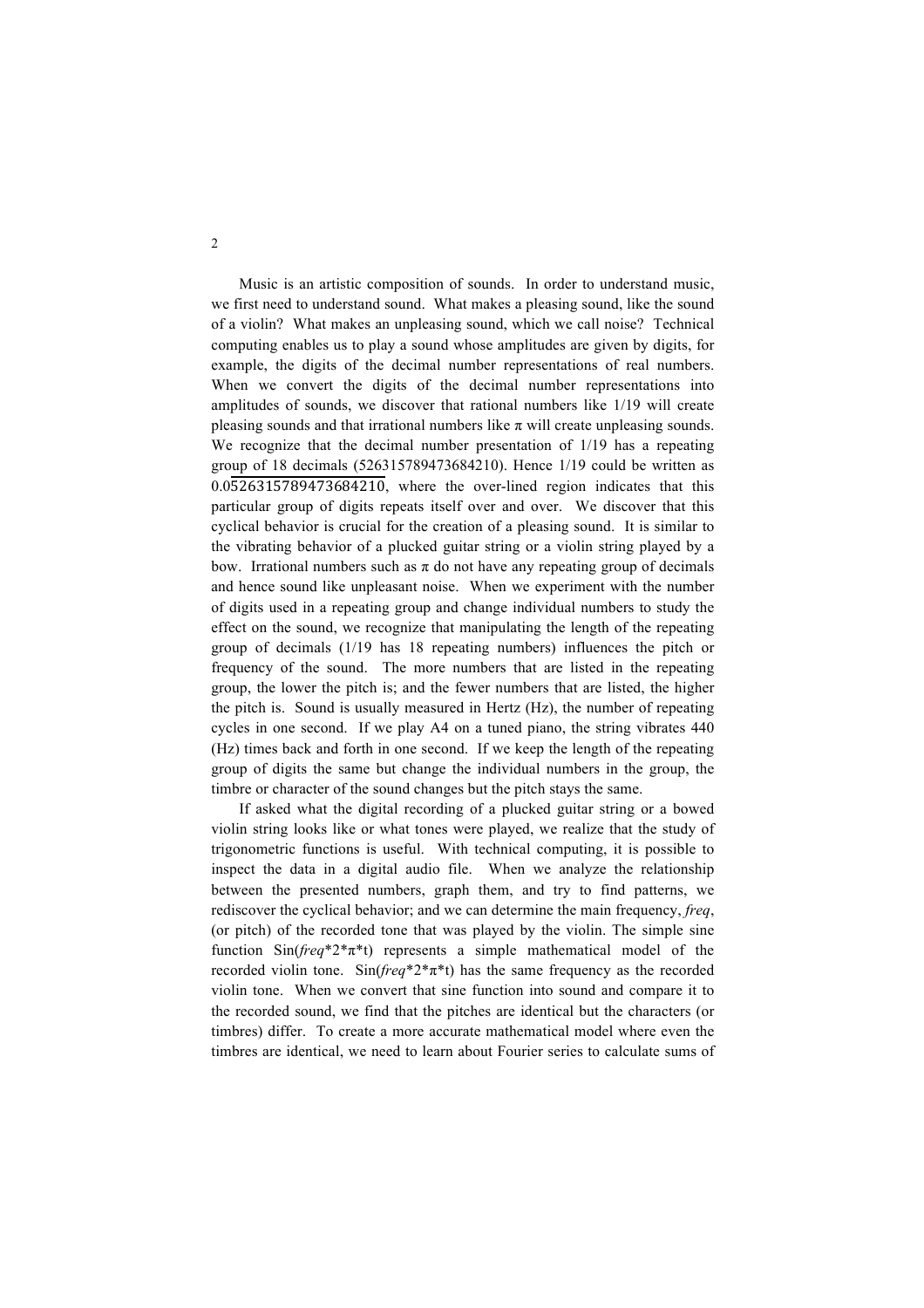Music is an artistic composition of sounds. In order to understand music, we first need to understand sound. What makes a pleasing sound, like the sound of a violin? What makes an unpleasing sound, which we call noise? Technical computing enables us to play a sound whose amplitudes are given by digits, for example, the digits of the decimal number representations of real numbers. When we convert the digits of the decimal number representations into amplitudes of sounds, we discover that rational numbers like 1/19 will create pleasing sounds and that irrational numbers like  $\pi$  will create unpleasing sounds. We recognize that the decimal number presentation of 1/19 has a repeating group of 18 decimals (526315789473684210). Hence 1/19 could be written as  $0.0526315789473684210$ , where the over-lined region indicates that this particular group of digits repeats itself over and over. We discover that this cyclical behavior is crucial for the creation of a pleasing sound. It is similar to the vibrating behavior of a plucked guitar string or a violin string played by a bow. Irrational numbers such as  $\pi$  do not have any repeating group of decimals and hence sound like unpleasant noise. When we experiment with the number of digits used in a repeating group and change individual numbers to study the effect on the sound, we recognize that manipulating the length of the repeating group of decimals (1/19 has 18 repeating numbers) influences the pitch or frequency of the sound. The more numbers that are listed in the repeating group, the lower the pitch is; and the fewer numbers that are listed, the higher the pitch is. Sound is usually measured in Hertz (Hz), the number of repeating cycles in one second. If we play A4 on a tuned piano, the string vibrates 440 (Hz) times back and forth in one second. If we keep the length of the repeating group of digits the same but change the individual numbers in the group, the timbre or character of the sound changes but the pitch stays the same.

If asked what the digital recording of a plucked guitar string or a bowed violin string looks like or what tones were played, we realize that the study of trigonometric functions is useful. With technical computing, it is possible to inspect the data in a digital audio file. When we analyze the relationship between the presented numbers, graph them, and try to find patterns, we rediscover the cyclical behavior; and we can determine the main frequency, *freq*, (or pitch) of the recorded tone that was played by the violin. The simple sine function Sin(*freq*\*2\*π\*t) represents a simple mathematical model of the recorded violin tone. Sin(*freq*\*2\*π\*t) has the same frequency as the recorded violin tone. When we convert that sine function into sound and compare it to the recorded sound, we find that the pitches are identical but the characters (or timbres) differ. To create a more accurate mathematical model where even the timbres are identical, we need to learn about Fourier series to calculate sums of

2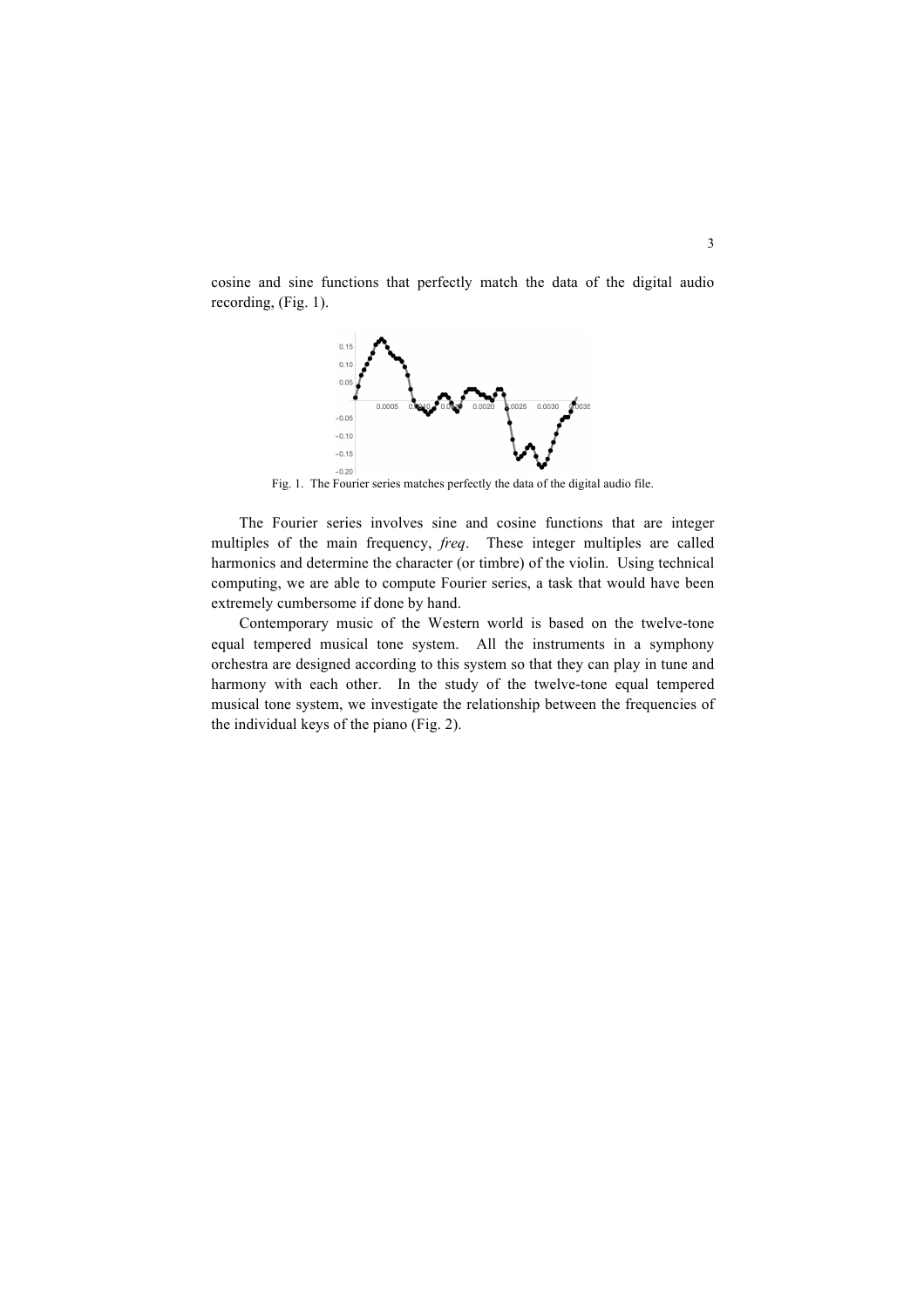cosine and sine functions that perfectly match the data of the digital audio recording, (Fig. 1).



Fig. 1. The Fourier series matches perfectly the data of the digital audio file.

The Fourier series involves sine and cosine functions that are integer multiples of the main frequency, *freq*. These integer multiples are called harmonics and determine the character (or timbre) of the violin. Using technical computing, we are able to compute Fourier series, a task that would have been extremely cumbersome if done by hand.

Contemporary music of the Western world is based on the twelve-tone equal tempered musical tone system. All the instruments in a symphony orchestra are designed according to this system so that they can play in tune and harmony with each other. In the study of the twelve-tone equal tempered musical tone system, we investigate the relationship between the frequencies of the individual keys of the piano (Fig. 2).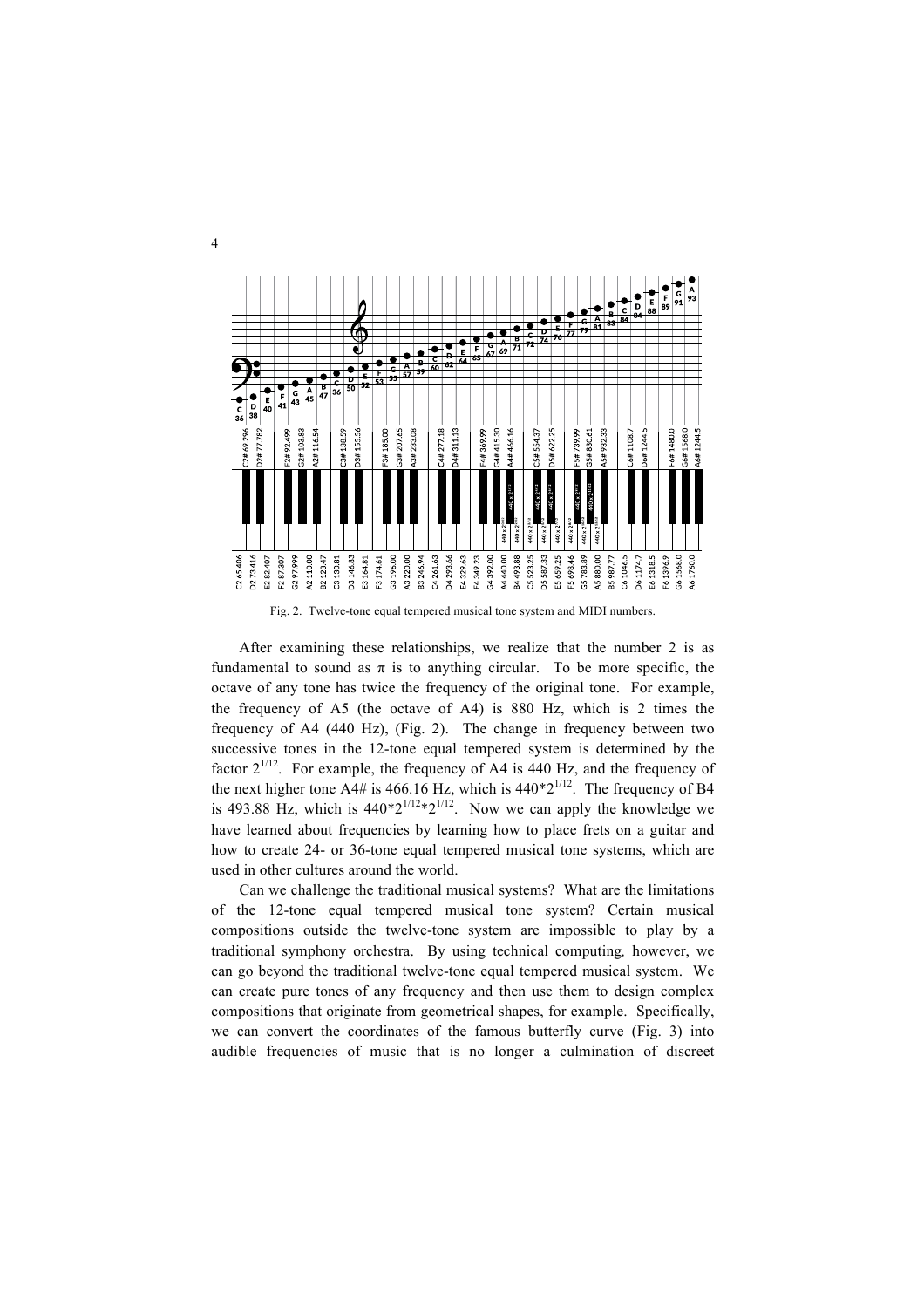

Fig. 2. Twelve-tone equal tempered musical tone system and MIDI numbers.

After examining these relationships, we realize that the number 2 is as fundamental to sound as  $\pi$  is to anything circular. To be more specific, the octave of any tone has twice the frequency of the original tone. For example, the frequency of A5 (the octave of A4) is 880 Hz, which is 2 times the frequency of A4 (440 Hz), (Fig. 2). The change in frequency between two successive tones in the 12-tone equal tempered system is determined by the factor  $2^{1/12}$ . For example, the frequency of A4 is 440 Hz, and the frequency of the next higher tone A4# is 466.16 Hz, which is  $440*2^{1/12}$ . The frequency of B4 is 493.88 Hz, which is  $440*2^{1/12}*2^{1/12}$ . Now we can apply the knowledge we have learned about frequencies by learning how to place frets on a guitar and how to create 24- or 36-tone equal tempered musical tone systems, which are used in other cultures around the world.

Can we challenge the traditional musical systems? What are the limitations of the 12-tone equal tempered musical tone system? Certain musical compositions outside the twelve-tone system are impossible to play by a traditional symphony orchestra. By using technical computing*,* however, we can go beyond the traditional twelve-tone equal tempered musical system. We can create pure tones of any frequency and then use them to design complex compositions that originate from geometrical shapes, for example. Specifically, we can convert the coordinates of the famous butterfly curve (Fig. 3) into audible frequencies of music that is no longer a culmination of discreet

4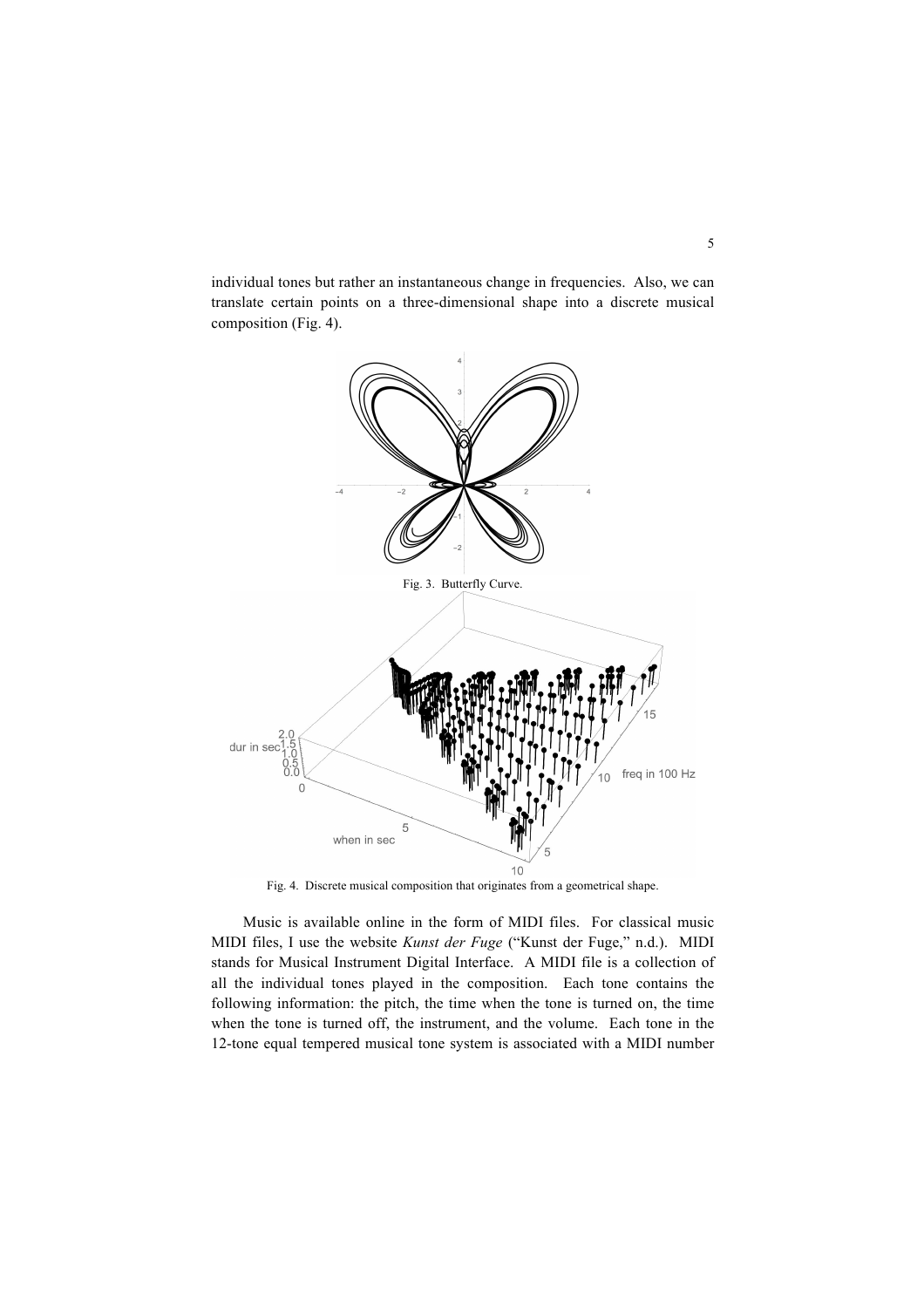individual tones but rather an instantaneous change in frequencies. Also, we can translate certain points on a three-dimensional shape into a discrete musical composition (Fig. 4).



Fig. 4. Discrete musical composition that originates from a geometrical shape.

Music is available online in the form of MIDI files. For classical music MIDI files, I use the website *Kunst der Fuge* ("Kunst der Fuge," n.d.). MIDI stands for Musical Instrument Digital Interface. A MIDI file is a collection of all the individual tones played in the composition. Each tone contains the following information: the pitch, the time when the tone is turned on, the time when the tone is turned off, the instrument, and the volume. Each tone in the 12-tone equal tempered musical tone system is associated with a MIDI number